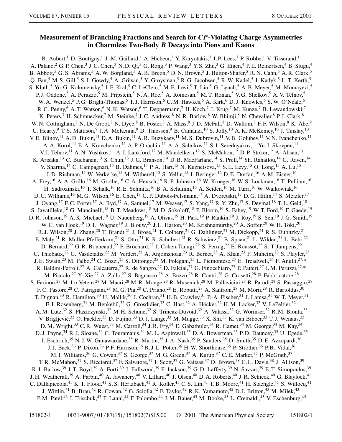## **Measurement of Branching Fractions and Search for** *CP***-Violating Charge Asymmetries in Charmless Two-Body** *B* **Decays into Pions and Kaons**

B. Aubert,<sup>1</sup> D. Boutigny,<sup>1</sup> J.-M. Gaillard,<sup>1</sup> A. Hicheur,<sup>1</sup> Y. Karyotakis,<sup>1</sup> J.P. Lees,<sup>1</sup> P. Robbe,<sup>1</sup> V. Tisserand,<sup>1</sup> A. Palano,  $^2$  G. P. Chen,  $^3$  J. C. Chen,  $^3$  N. D. Qi,  $^3$  G. Rong,  $^3$  P. Wang,  $^3$  Y. S. Zhu,  $^3$  G. Eigen,  $^4$  P. L. Reinertsen,  $^4$  B. Stugu,  $^4$ B. Abbott,<sup>5</sup> G. S. Abrams,<sup>5</sup> A. W. Borgland,<sup>5</sup> A. B. Breon,<sup>5</sup> D. N. Brown,<sup>5</sup> J. Button-Shafer,<sup>5</sup> R. N. Cahn,<sup>5</sup> A. R. Clark,<sup>5</sup> Q. Fan,<sup>5</sup> M. S. Gill,<sup>5</sup> S. J. Gowdy,<sup>5</sup> A. Gritsan,<sup>5</sup> Y. Groysman,<sup>5</sup> R. G. Jacobsen,<sup>5</sup> R. W. Kadel,<sup>5</sup> J. Kadyk,<sup>5</sup> L. T. Kerth,<sup>5</sup> S. Kluth,<sup>5</sup> Yu. G. Kolomensky,<sup>5</sup> J. F. Kral,<sup>5</sup> C. LeClerc,<sup>5</sup> M. E. Levi,<sup>5</sup> T. Liu,<sup>5</sup> G. Lynch,<sup>5</sup> A. B. Meyer,<sup>5</sup> M. Momayezi,<sup>5</sup> P. J. Oddone,<sup>5</sup> A. Perazzo,<sup>5</sup> M. Pripstein,<sup>5</sup> N. A. Roe,<sup>5</sup> A. Romosan,<sup>5</sup> M. T. Ronan,<sup>5</sup> V. G. Shelkov,<sup>5</sup> A. V. Telnov,<sup>5</sup> W. A. Wenzel,<sup>5</sup> P. G. Bright-Thomas,<sup>6</sup> T. J. Harrison,<sup>6</sup> C. M. Hawkes,<sup>6</sup> A. Kirk,<sup>6</sup> D. J. Knowles,<sup>6</sup> S. W. O'Neale,<sup>6</sup> R. C. Penny,<sup>6</sup> A. T. Watson,<sup>6</sup> N. K. Watson,<sup>6</sup> T. Deppermann,<sup>7</sup> H. Koch,<sup>7</sup> J. Krug,<sup>7</sup> M. Kunze,<sup>7</sup> B. Lewandowski,<sup>7</sup> K. Peters,<sup>7</sup> H. Schmuecker,<sup>7</sup> M. Steinke,<sup>7</sup> J. C. Andress,<sup>8</sup> N. R. Barlow,<sup>8</sup> W. Bhimji,<sup>8</sup> N. Chevalier,<sup>8</sup> P. J. Clark,<sup>8</sup> W. N. Cottingham,<sup>8</sup> N. De Groot,<sup>8</sup> N. Dyce,<sup>8</sup> B. Foster,<sup>8</sup> A. Mass,<sup>8</sup> J. D. McFall,<sup>8</sup> D. Wallom,<sup>8</sup> F. F. Wilson,<sup>8</sup> K. Abe,<sup>9</sup> C. Hearty, <sup>9</sup> T. S. Mattison, <sup>9</sup> J. A. McKenna, <sup>9</sup> D. Thiessen, <sup>9</sup> B. Camanzi, <sup>10</sup> S. Jolly, <sup>10</sup> A. K. McKemey, <sup>10</sup> J. Tinslay, <sup>10</sup> V. E. Blinov,<sup>11</sup> A. D. Bukin,<sup>11</sup> D. A. Bukin,<sup>11</sup> A. R. Buzykaev,<sup>11</sup> M. S. Dubrovin,<sup>11</sup> V. B. Golubev,<sup>11</sup> V. N. Ivanchenko,<sup>11</sup> A. A. Korol,<sup>11</sup> E. A. Kravchenko,<sup>11</sup> A. P. Onuchin,<sup>11</sup> A. A. Salnikov,<sup>11</sup> S. I. Serednyakov,<sup>11</sup> Yu. I. Skovpen,<sup>11</sup> V. I. Telnov,<sup>11</sup> A. N. Yushkov,<sup>11</sup> A. J. Lankford,<sup>12</sup> M. Mandelkern,<sup>12</sup> S. McMahon,<sup>12</sup> D. P. Stoker,<sup>12</sup> A. Ahsan,<sup>13</sup> K. Arisaka,<sup>13</sup> C. Buchanan,<sup>13</sup> S. Chun,<sup>13</sup> J. G. Branson,<sup>14</sup> D. B. MacFarlane,<sup>14</sup> S. Prell,<sup>14</sup> Sh. Rahatlou,<sup>14</sup> G. Raven,<sup>14</sup> V. Sharma,<sup>14</sup> C. Campagnari,<sup>15</sup> B. Dahmes,<sup>15</sup> P. A. Hart,<sup>15</sup> N. Kuznetsova,<sup>15</sup> S. L. Levy,<sup>15</sup> O. Long,<sup>15</sup> A. Lu,<sup>15</sup> J. D. Richman,<sup>15</sup> W. Verkerke,<sup>15</sup> M. Witherell,<sup>15</sup> S. Yellin,<sup>15</sup> J. Beringer,<sup>16</sup> D. E. Dorfan,<sup>16</sup> A. M. Eisner,<sup>16</sup> A. Frey,<sup>16</sup> A. A. Grillo,<sup>16</sup> M. Grothe,<sup>16</sup> C. A. Heusch,<sup>16</sup> R. P. Johnson,<sup>16</sup> W. Kroeger,<sup>16</sup> W. S. Lockman,<sup>16</sup> T. Pulliam,<sup>16</sup> H. Sadrozinski,<sup>16</sup> T. Schalk,<sup>16</sup> R. E. Schmitz,<sup>16</sup> B. A. Schumm,<sup>16</sup> A. Seiden,<sup>16</sup> M. Turri,<sup>16</sup> W. Walkowiak,<sup>16</sup> D. C. Williams,<sup>16</sup> M. G. Wilson,<sup>16</sup> E. Chen,<sup>17</sup> G. P. Dubois-Felsmann,<sup>17</sup> A. Dvoretskii,<sup>17</sup> D. G. Hitlin,<sup>17</sup> S. Metzler,<sup>17</sup> J. Oyang, <sup>17</sup> F. C. Porter, <sup>17</sup> A. Ryd, <sup>17</sup> A. Samuel, <sup>17</sup> M. Weaver, <sup>17</sup> S. Yang, <sup>17</sup> R. Y. Zhu, <sup>17</sup> S. Devmal, <sup>18</sup> T. L. Geld, <sup>18</sup> S. Jayatilleke,<sup>18</sup> G. Mancinelli,<sup>18</sup> B. T. Meadows,<sup>18</sup> M. D. Sokoloff,<sup>18</sup> P. Bloom,<sup>19</sup> S. Fahey,<sup>19</sup> W. T. Ford,<sup>19</sup> F. Gaede,<sup>19</sup> D. R. Johnson,<sup>19</sup> A. K. Michael,<sup>19</sup> U. Nauenberg,<sup>19</sup> A. Olivas,<sup>19</sup> H. Park,<sup>19</sup> P. Rankin,<sup>19</sup> J. Roy,<sup>19</sup> S. Sen,<sup>19</sup> J. G. Smith,<sup>19</sup> W. C. van Hoek,<sup>19</sup> D. L. Wagner,<sup>19</sup> J. Blouw,<sup>20</sup> J. L. Harton,<sup>20</sup> M. Krishnamurthy,<sup>20</sup> A. Soffer,<sup>20</sup> W. H. Toki,<sup>20</sup> R. J. Wilson,<sup>20</sup> J. Zhang,<sup>20</sup> T. Brandt,<sup>21</sup> J. Brose,<sup>21</sup> T. Colberg,<sup>21</sup> G. Dahlinger,<sup>21</sup> M. Dickopp,<sup>21</sup> R. S. Dubitzky,<sup>21</sup> E. Maly,<sup>21</sup> R. Müller-Pfefferkorn,<sup>21</sup> S. Otto,<sup>21</sup> K. R. Schubert,<sup>21</sup> R. Schwierz,<sup>21</sup> B. Spaan,<sup>21</sup> L. Wilden,<sup>21</sup> L. Behr,<sup>22</sup> D. Bernard,<sup>22</sup> G. R. Bonneaud,<sup>22</sup> F. Brochard,<sup>22</sup> J. Cohen-Tanugi,<sup>22</sup> S. Ferrag,<sup>22</sup> E. Roussot,<sup>22</sup> S. T'Jampens,<sup>22</sup> C. Thiebaux,<sup>22</sup> G. Vasileiadis,<sup>22</sup> M. Verderi,<sup>22</sup> A. Anjomshoaa,<sup>23</sup> R. Bernet,<sup>23</sup> A. Khan,<sup>23</sup> F. Muheim,<sup>23</sup> S. Playfer,<sup>23</sup> J. E. Swain,<sup>23</sup> M. Falbo,<sup>24</sup> C. Bozzi,<sup>25</sup> S. Dittongo,<sup>25</sup> M. Folegani,<sup>25</sup> L. Piemontese,<sup>25</sup> E. Treadwell,<sup>26</sup> F. Anulli,<sup>27,\*</sup> R. Baldini-Ferroli,<sup>27</sup> A. Calcaterra,<sup>27</sup> R. de Sangro,<sup>27</sup> D. Falciai,<sup>27</sup> G. Finocchiaro,<sup>27</sup> P. Patteri,<sup>27</sup> I. M. Peruzzi,<sup>27,\*</sup> M. Piccolo,<sup>27</sup> Y. Xie,<sup>27</sup> A. Zallo,<sup>27</sup> S. Bagnasco,<sup>28</sup> A. Buzzo,<sup>28</sup> R. Contri,<sup>28</sup> G. Crosetti,<sup>28</sup> P. Fabbricatore,<sup>28</sup> S. Farinon,<sup>28</sup> M. Lo Vetere,<sup>28</sup> M. Macri,<sup>28</sup> M. R. Monge,<sup>28</sup> R. Musenich,<sup>28</sup> M. Pallavicini,<sup>28</sup> R. Parodi,<sup>28</sup> S. Passaggio,<sup>28</sup> F. C. Pastore,<sup>28</sup> C. Patrignani,<sup>28</sup> M. G. Pia,<sup>28</sup> C. Priano,<sup>28</sup> E. Robutti,<sup>28</sup> A. Santroni,<sup>28</sup> M. Morii,<sup>29</sup> R. Bartoldus,<sup>30</sup> T. Dignan,<sup>30</sup> R. Hamilton,<sup>30</sup> U. Mallik,<sup>30</sup> J. Cochran,<sup>31</sup> H. B. Crawley,<sup>31</sup> P.-A. Fischer,<sup>31</sup> J. Lamsa,<sup>31</sup> W. T. Meyer,<sup>31</sup> E. I. Rosenberg,<sup>31</sup> M. Benkebil,<sup>32</sup> G. Grosdidier,<sup>32</sup> C. Hast,<sup>32</sup> A. Höcker,<sup>32</sup> H. M. Lacker,<sup>32</sup> V. LePeltier,<sup>32</sup> A. M. Lutz,<sup>32</sup> S. Plaszczynski,<sup>32</sup> M. H. Schune,<sup>32</sup> S. Trincaz-Duvoid,<sup>32</sup> A. Valassi,<sup>32</sup> G. Wormser,<sup>32</sup> R. M. Bionta,<sup>33</sup> V. Brigljević,<sup>33</sup> O. Fackler,<sup>33</sup> D. Fujino,<sup>33</sup> D. J. Lange,<sup>33</sup> M. Mugge,<sup>33</sup> X. Shi,<sup>33</sup> K. van Bibber,<sup>33</sup> T. J. Wenaus,<sup>33</sup> D. M. Wright,<sup>33</sup> C. R. Wuest,<sup>33</sup> M. Carroll,<sup>34</sup> J. R. Fry,<sup>34</sup> E. Gabathuler,<sup>34</sup> R. Gamet,<sup>34</sup> M. George,<sup>34</sup> M. Kay,<sup>34</sup> D. J. Payne,<sup>34</sup> R. J. Sloane,<sup>34</sup> C. Touramanis,<sup>34</sup> M. L. Aspinwall,<sup>35</sup> D. A. Bowerman,<sup>35</sup> P. D. Dauncey,<sup>35</sup> U. Egede,<sup>35</sup> I. Eschrich,<sup>35</sup> N. J. W. Gunawardane,<sup>35</sup> R. Martin,<sup>35</sup> J. A. Nash,<sup>35</sup> P. Sanders,<sup>35</sup> D. Smith,<sup>35</sup> D. E. Azzopardi,<sup>36</sup> J. J. Back,<sup>36</sup> P. Dixon,<sup>36</sup> P. F. Harrison,<sup>36</sup> R. J. L. Potter,<sup>36</sup> H. W. Shorthouse,<sup>36</sup> P. Strother,<sup>36</sup> P. B. Vidal,<sup>36</sup> M. I. Williams,<sup>36</sup> G. Cowan,<sup>37</sup> S. George,<sup>37</sup> M. G. Green,<sup>37</sup> A. Kurup,<sup>37</sup> C. E. Marker,<sup>37</sup> P. McGrath,<sup>37</sup> T. R. McMahon,<sup>37</sup> S. Ricciardi,<sup>37</sup> F. Salvatore,<sup>37</sup> I. Scott,<sup>37</sup> G. Vaitsas,<sup>37</sup> D. Brown,<sup>38</sup> C. L. Davis,<sup>38</sup> J. Allison,<sup>39</sup> R. J. Barlow,<sup>39</sup> J. T. Boyd,<sup>39</sup> A. Forti,<sup>39</sup> J. Fullwood,<sup>39</sup> F. Jackson,<sup>39</sup> G. D. Lafferty,<sup>39</sup> N. Savvas,<sup>39</sup> E. T. Simopoulos,<sup>39</sup> J. H. Weatherall,<sup>39</sup> A. Farbin,<sup>40</sup> A. Jawahery,<sup>40</sup> V. Lillard,<sup>40</sup> J. Olsen,<sup>40</sup> D. A. Roberts,<sup>40</sup> J. R. Schieck,<sup>40</sup> G. Blaylock,<sup>41</sup> C. Dallapiccola,<sup>41</sup> K. T. Flood,<sup>41</sup> S. S. Hertzbach,<sup>41</sup> R. Kofler,<sup>41</sup> C. S. Lin,<sup>41</sup> T. B. Moore,<sup>41</sup> H. Staengle,<sup>41</sup> S. Willocq,<sup>41</sup> J. Wittlin,<sup>41</sup> B. Brau,<sup>42</sup> R. Cowan,<sup>42</sup> G. Sciolla,<sup>42</sup> F. Taylor,<sup>42</sup> R. K. Yamamoto,<sup>42</sup> D. I. Britton,<sup>43</sup> M. Milek,<sup>43</sup> P. M. Patel,<sup>43</sup> J. Trischuk,<sup>43</sup> F. Lanni,<sup>44</sup> F. Palombo,<sup>44</sup> J. M. Bauer,<sup>45</sup> M. Booke,<sup>45</sup> L. Cremaldi,<sup>45</sup> V. Eschenburg,<sup>45</sup>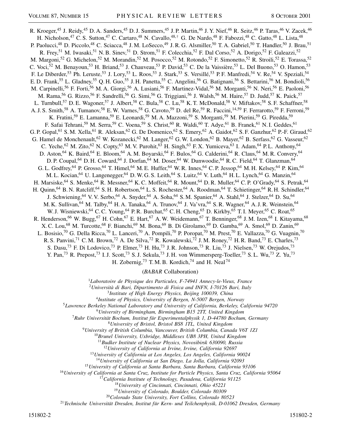R. Kroeger,<sup>45</sup> J. Reidy,<sup>45</sup> D. A. Sanders,<sup>45</sup> D. J. Summers,<sup>45</sup> J. P. Martin,<sup>46</sup> J. Y. Nief,<sup>46</sup> R. Seitz,<sup>46</sup> P. Taras,<sup>46</sup> V. Zacek,<sup>46</sup> H. Nicholson,<sup>47</sup> C. S. Sutton,<sup>47</sup> C. Cartaro,<sup>48</sup> N. Cavallo,<sup>48,†</sup> G. De Nardo,<sup>48</sup> F. Fabozzi,<sup>48</sup> C. Gatto,<sup>48</sup> L. Lista,<sup>48</sup> P. Paolucci,<sup>48</sup> D. Piccolo,<sup>48</sup> C. Sciacca,<sup>48</sup> J. M. LoSecco,<sup>49</sup> J. R. G. Alsmiller,<sup>50</sup> T. A. Gabriel,<sup>50</sup> T. Handler,<sup>50</sup> J. Brau,<sup>51</sup> R. Frey,<sup>51</sup> M. Iwasaki,<sup>51</sup> N. B. Sinev,<sup>51</sup> D. Strom,<sup>51</sup> F. Colecchia,<sup>52</sup> F. Dal Corso,<sup>52</sup> A. Dorigo,<sup>52</sup> F. Galeazzi,<sup>52</sup> M. Margoni,<sup>52</sup> G. Michelon,<sup>52</sup> M. Morandin,<sup>52</sup> M. Posocco,<sup>52</sup> M. Rotondo,<sup>52</sup> F. Simonetto,<sup>52</sup> R. Stroili,<sup>52</sup> E. Torassa,<sup>52</sup> C. Voci,<sup>52</sup> M. Benayoun,<sup>53</sup> H. Briand,<sup>53</sup> J. Chauveau,<sup>53</sup> P. David,<sup>53</sup> C. De la Vaissière,<sup>53</sup> L. Del Buono,<sup>53</sup> O. Hamon,<sup>53</sup> F. Le Diberder,<sup>53</sup> Ph. Leruste,<sup>53</sup> J. Lory,<sup>53</sup> L. Roos,<sup>53</sup> J. Stark,<sup>53</sup> S. Versillé,<sup>53</sup> P. F. Manfredi,<sup>54</sup> V. Re,<sup>54</sup> V. Speziali,<sup>54</sup> E. D. Frank,<sup>55</sup> L. Gladney,<sup>55</sup> Q. H. Guo,<sup>55</sup> J. H. Panetta,<sup>55</sup> C. Angelini,<sup>56</sup> G. Batignani,<sup>56</sup> S. Bettarini,<sup>56</sup> M. Bondioli,<sup>56</sup> M. Carpinelli,<sup>56</sup> F. Forti,<sup>56</sup> M. A. Giorgi,<sup>56</sup> A. Lusiani,<sup>56</sup> F. Martinez-Vidal,<sup>56</sup> M. Morganti,<sup>56</sup> N. Neri,<sup>56</sup> E. Paoloni,<sup>56</sup> M. A. Giorgi,<sup>56</sup> A. Lusiani,<sup>56</sup> F. Martinez-Vidal,<sup>56</sup> M. Morganti,<sup>56</sup> N. Neri,<sup>56</sup> M. Rama,<sup>56</sup> G. Rizzo,<sup>56</sup> F. Sandrelli,<sup>56</sup> G. Simi,<sup>56</sup> G. Triggiani,<sup>56</sup> J. Walsh,<sup>56</sup> M. Haire,<sup>57</sup> D. Judd,<sup>57</sup> K. Paick,<sup>57</sup> L. Turnbull,<sup>57</sup> D. E. Wagoner,<sup>57</sup> J. Albert,<sup>58</sup> C. Bula,<sup>58</sup> C. Lu,<sup>58</sup> K. T. McDonald,<sup>58</sup> V. Miftakov,<sup>58</sup> S. F. Schaffner,<sup>58</sup> A. J. S. Smith,<sup>58</sup> A. Tumanov,<sup>58</sup> E. W. Varnes,<sup>58</sup> G. Cavoto,<sup>59</sup> D. del Re,<sup>59</sup> R. Faccini,<sup>14,59</sup> F. Ferrarotto,<sup>59</sup> F. Ferroni,<sup>59</sup> K. Fratini,<sup>59</sup> E. Lamanna,<sup>59</sup> E. Leonardi,<sup>59</sup> M. A. Mazzoni,<sup>59</sup> S. Morganti,<sup>59</sup> M. Pierini,<sup>59</sup> G. Piredda,<sup>59</sup> F. Safai Tehrani,<sup>59</sup> M. Serra,<sup>59</sup> C. Voena,<sup>59</sup> S. Christ,<sup>60</sup> R. Waldi,<sup>60</sup> T. Adye,<sup>61</sup> B. Franek,<sup>61</sup> N. I. Geddes,<sup>61</sup> G. P. Gopal,<sup>61</sup> S. M. Xella,<sup>61</sup> R. Aleksan,<sup>62</sup> G. De Domenico,<sup>62</sup> S. Emery,<sup>62</sup> A. Gaidot,<sup>62</sup> S. F. Ganzhur,<sup>62</sup> P.-F. Giraud,<sup>62</sup> G. Hamel de Monchenault,<sup>62</sup> W. Kozanecki,<sup>62</sup> M. Langer,<sup>62</sup> G. W. London,<sup>62</sup> B. Mayer,<sup>62</sup> B. Serfass,<sup>62</sup> G. Vasseur,<sup>62</sup> C. Yeche,<sup>62</sup> M. Zito,<sup>62</sup> N. Copty,<sup>63</sup> M. V. Purohit,<sup>63</sup> H. Singh,<sup>63</sup> F. X. Yumiceva,<sup>63</sup> I. Adam,<sup>64</sup> P. L. Anthony,<sup>64</sup> D. Aston, <sup>64</sup> K. Baird, <sup>64</sup> E. Bloom, <sup>64</sup> A. M. Boyarski, <sup>64</sup> F. Bulos, <sup>64</sup> G. Calderini, <sup>64</sup> R. Claus, <sup>64</sup> M. R. Convery, <sup>64</sup> D. P. Coupal,<sup>64</sup> D. H. Coward,<sup>64</sup> J. Dorfan,<sup>64</sup> M. Doser,<sup>64</sup> W. Dunwoodie,<sup>64</sup> R. C. Field,<sup>64</sup> T. Glanzman,<sup>64</sup> G. L. Godfrey,<sup>64</sup> P. Grosso,<sup>64</sup> T. Himel,<sup>64</sup> M. E. Huffer,<sup>64</sup> W. R. Innes,<sup>64</sup> C. P. Jessop,<sup>64</sup> M. H. Kelsey,<sup>64</sup> P. Kim,<sup>64</sup> M. L. Kocian, <sup>64</sup> U. Langenegger, <sup>64</sup> D. W. G. S. Leith, <sup>64</sup> S. Luitz, <sup>64</sup> V. Luth, <sup>64</sup> H. L. Lynch, <sup>64</sup> G. Manzin, <sup>64</sup> H. Marsiske,<sup>64</sup> S. Menke,<sup>64</sup> R. Messner,<sup>64</sup> K. C. Moffeit,<sup>64</sup> R. Mount,<sup>64</sup> D. R. Muller,<sup>64</sup> C. P. O'Grady,<sup>64</sup> S. Petrak,<sup>64</sup> H. Quinn,<sup>64</sup> B. N. Ratcliff,<sup>64</sup> S. H. Robertson,<sup>64</sup> L. S. Rochester,<sup>64</sup> A. Roodman,<sup>64</sup> T. Schietinger,<sup>64</sup> R. H. Schindler,<sup>64</sup> J. Schwiening,<sup>64</sup> V. V. Serbo,<sup>64</sup> A. Snyder,<sup>64</sup> A. Soha,<sup>64</sup> S. M. Spanier,<sup>64</sup> A. Stahl,<sup>64</sup> J. Stelzer,<sup>64</sup> D. Su,<sup>64</sup> M. K. Sullivan, <sup>64</sup> M. Talby, <sup>64</sup> H. A. Tanaka, <sup>64</sup> A. Trunov, <sup>64</sup> J. Va'vra, <sup>64</sup> S. R. Wagner, <sup>64</sup> A. J. R. Weinstein, <sup>64</sup> W. J. Wisniewski,<sup>64</sup> C.C. Young,<sup>64</sup> P. R. Burchat,<sup>65</sup> C. H. Cheng,<sup>65</sup> D. Kirkby,<sup>65</sup> T. I. Meyer,<sup>65</sup> C. Roat,<sup>65</sup> R. Henderson,<sup>66</sup> W. Bugg,<sup>67</sup> H. Cohn,<sup>67</sup> E. Hart,<sup>67</sup> A. W. Weidemann,<sup>67</sup> T. Benninger,<sup>68</sup> J. M. Izen,<sup>68</sup> I. Kitayama,<sup>68</sup> X. C. Lou,<sup>68</sup> M. Turcotte,<sup>68</sup> F. Bianchi,<sup>69</sup> M. Bona,<sup>69</sup> B. Di Girolamo,<sup>69</sup> D. Gamba,<sup>69</sup> A. Smol,<sup>69</sup> D. Zanin,<sup>69</sup> L. Bosisio,<sup>70</sup> G. Della Ricca,<sup>70</sup> L. Lanceri,<sup>70</sup> A. Pompili,<sup>70</sup> P. Poropat,<sup>70</sup> M. Prest,<sup>70</sup> E. Vallazza,<sup>70</sup> G. Vuagnin,<sup>70</sup> R. S. Panvini,<sup>71</sup> C. M. Brown,<sup>72</sup> A. De Silva,<sup>72</sup> R. Kowalewski,<sup>72</sup> J. M. Roney,<sup>72</sup> H. R. Band,<sup>73</sup> E. Charles,<sup>73</sup> S. Dasu,<sup>73</sup> F. Di Lodovico,<sup>73</sup> P. Elmer,<sup>73</sup> H. Hu,<sup>73</sup> J. R. Johnson,<sup>73</sup> R. Liu,<sup>73</sup> J. Nielsen,<sup>73</sup> W. Orejudos,<sup>73</sup> Y. Pan,<sup>73</sup> R. Prepost,<sup>73</sup> I. J. Scott,<sup>73</sup> S. J. Sekula,<sup>73</sup> J. H. von Wimmersperg-Toeller,<sup>73</sup> S. L. Wu,<sup>73</sup> Z. Yu,<sup>73</sup> H. Zobernig,<sup>73</sup> T. M. B. Kordich,<sup>74</sup> and H. Neal<sup>74</sup>

(*BABAR* Collaboration)

<sup>1</sup>*Laboratoire de Physique des Particules, F-74941 Annecy-le-Vieux, France*

<sup>2</sup>*Università di Bari, Dipartimento di Fisica and INFN, I-70126 Bari, Italy*

<sup>3</sup>*Institute of High Energy Physics, Beijing 100039, China*

<sup>4</sup>*Institute of Physics, University of Bergen, N-5007 Bergen, Norway*

<sup>5</sup>*Lawrence Berkeley National Laboratory and University of California, Berkeley, California 94720*

<sup>6</sup>*University of Birmingham, Birmingham B15 2TT, United Kingdom*

<sup>7</sup>*Ruhr Universität Bochum, Institut für Experimentalphysik 1, D-44780 Bochum, Germany*

<sup>8</sup>*University of Bristol, Bristol BS8 1TL, United Kingdom*

<sup>9</sup>*University of British Columbia, Vancouver, British Columbia, Canada V6T 1Z1*

<sup>10</sup>*Brunel University, Uxbridge, Middlesex UB8 3PH, United Kingdom*

<sup>11</sup>*Budker Institute of Nuclear Physics, Novosibirsk 630090, Russia*

<sup>12</sup>*University of California at Irvine, Irvine, California 92697*

<sup>13</sup>*University of California at Los Angeles, Los Angeles, California 90024*

<sup>14</sup>*University of California at San Diego, La Jolla, California 92093*

<sup>15</sup>*University of California at Santa Barbara, Santa Barbara, California 93106*

<sup>16</sup>*University of California at Santa Cruz, Institute for Particle Physics, Santa Cruz, California 95064*

<sup>17</sup>*California Institute of Technology, Pasadena, California 91125*

<sup>18</sup>*University of Cincinnati, Cincinnati, Ohio 45221*

<sup>19</sup>*University of Colorado, Boulder, Colorado 80309*

<sup>20</sup>*Colorado State University, Fort Collins, Colorado 80523*

<sup>21</sup>*Technische Universität Dresden, Institut für Kern- und Teilchenphysik, D-01062 Dresden, Germany*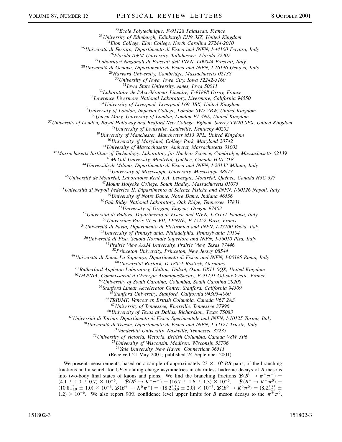*Ecole Polytechnique, F-91128 Palaiseau, France*

*University of Edinburgh, Edinburgh EH9 3JZ, United Kingdom*

*Elon College, Elon College, North Carolina 27244-2010*

*Università di Ferrara, Dipartimento di Fisica and INFN, I-44100 Ferrara, Italy*

*Florida A&M University, Tallahassee, Florida 32307*

*Laboratori Nazionali di Frascati dell'INFN, I-00044 Frascati, Italy*

*Università di Genova, Dipartimento di Fisica and INFN, I-16146 Genova, Italy*

*Harvard University, Cambridge, Massachusetts 02138*

*University of Iowa, Iowa City, Iowa 52242-3160*

*Iowa State University, Ames, Iowa 50011*

*Laboratoire de l'Accélérateur Linéaire, F-91898 Orsay, France*

*Lawrence Livermore National Laboratory, Livermore, California 94550*

*University of Liverpool, Liverpool L69 3BX, United Kingdom*

*University of London, Imperial College, London SW7 2BW, United Kingdom*

*Queen Mary, University of London, London E1 4NS, United Kingdom*

*University of London, Royal Holloway and Bedford New College, Egham, Surrey TW20 0EX, United Kingdom*

*University of Louisville, Louisville, Kentucky 40292*

*University of Manchester, Manchester M13 9PL, United Kingdom*

*University of Maryland, College Park, Maryland 20742*

*University of Massachusetts, Amherst, Massachusetts 01003*

*Massachusetts Institute of Technology, Laboratory for Nuclear Science, Cambridge, Massachusetts 02139*

*McGill University, Montréal, Québec, Canada H3A 2T8*

*Università di Milano, Dipartimento di Fisica and INFN, I-20133 Milano, Italy*

*University of Mississippi, University, Mississippi 38677*

*Université de Montréal, Laboratoire René J. A. Levesque, Montréal, Québec, Canada H3C 3J7*

*Mount Holyoke College, South Hadley, Massachusetts 01075*

*Università di Napoli Federico II, Dipartimento di Scienze Fisiche and INFN, I-80126 Napoli, Italy*

*University of Notre Dame, Notre Dame, Indiana 46556*

*Oak Ridge National Laboratory, Oak Ridge, Tennessee 37831*

*University of Oregon, Eugene, Oregon 97403*

*Università di Padova, Dipartmento di Fisica and INFN, I-35131 Padova, Italy*

*Universités Paris VI et VII, LPNHE, F-75252 Paris, France*

*Università di Pavia, Dipartmento di Elettronica and INFN, I-27100 Pavia, Italy*

*University of Pennsylvania, Philadelphia, Pennsylvania 19104*

*Università di Pisa, Scuola Normale Superiore and INFN, I-56010 Pisa, Italy*

*Prairie View A&M University, Prairie View, Texas 77446*

*Princeton University, Princeton, New Jersey 08544*

*Università di Roma La Sapienza, Dipartimento di Fisica and INFN, I-00185 Roma, Italy*

*Universität Rostock, D-18051 Rostock, Germany*

*Rutherford Appleton Laboratory, Chilton, Didcot, Oxon OX11 0QX, United Kingdom*

*DAPNIA, Commissariat à l'Energie Atomique/Saclay, F-91191 Gif-sur-Yvette, France*

*University of South Carolina, Columbia, South Carolina 29208*

*Stanford Linear Accelerator Center, Stanford, California 94309*

*Stanford University, Stanford, California 94305-4060*

*TRIUMF, Vancouver, British Columbia, Canada V6T 2A3*

*University of Tennessee, Knoxville, Tennessee 37996*

*University of Texas at Dallas, Richardson, Texas 75083*

*Università di Torino, Dipartimento di Fisica Sperimentale and INFN, I-10125 Torino, Italy*

*Università di Trieste, Dipartimento di Fisica and INFN, I-34127 Trieste, Italy*

*Vanderbilt University, Nashville, Tennessee 37235*

*University of Victoria, Victoria, British Columbia, Canada V8W 3P6*

*University of Wisconsin, Madison, Wisconsin 53706*

*Yale University, New Haven, Connecticut 06511*

(Received 21 May 2001; published 24 September 2001)

We present measurements, based on a sample of approximately  $23 \times 10^6$   $\overline{BB}$  pairs, of the branching fractions and a search for *CP*-violating charge asymmetries in charmless hadronic decays of *B* mesons into two-body final states of kaons and pions. We find the branching fractions  $\mathcal{B}(B^0 \to \pi^+ \pi^-)$  $(4.1 \pm 1.0 \pm 0.7) \times 10^{-6}$ ,  $\mathcal{B}(B^0 \to K^+ \pi^-) = (16.7 \pm 1.6 \pm 1.3) \times 10^{-6}$ ,  $\mathcal{B}(B^+ \to K^+ \pi^0) =$  $(10.8^{+2.1}_{-1.9} \pm 1.0) \times 10^{-6}, \mathcal{B}(B^+ \to K^0 \pi^+) = (18.2^{+3.3}_{-3.0} \pm 2.0) \times 10^{-6}, \mathcal{B}(B^0 \to K^0 \pi^0) = (8.2^{+3.1}_{-2.7} \pm 1.0)$ 1.2)  $\times$  10<sup>-6</sup>. We also report 90% confidence level upper limits for *B* meson decays to the  $\pi^{+}\pi^{0}$ ,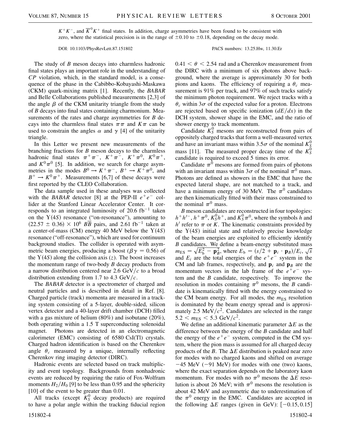$K^+K^-$ , and  $\overline{K}^0 K^+$  final states. In addition, charge asymmetries have been found to be consistent with zero, where the statistical precision is in the range of  $\pm 0.10$  to  $\pm 0.18$ , depending on the decay mode.

DOI: 10.1103/PhysRevLett.87.151802 PACS numbers: 13.25.Hw, 11.30.Er

The study of *B* meson decays into charmless hadronic final states plays an important role in the understanding of *CP* violation, which, in the standard model, is a consequence of the phase in the Cabibbo-Kobayashi-Maskawa (CKM) quark-mixing matrix [1]. Recently, the *BABAR* and Belle Collaborations published measurements [2,3] of the angle  $\beta$  of the CKM unitarity triangle from the study of *B* decays into final states containing charmonium. Measurements of the rates and charge asymmetries for *B* decays into the charmless final states  $\pi\pi$  and  $K\pi$  can be used to constrain the angles  $\alpha$  and  $\gamma$  [4] of the unitarity triangle.

In this Letter we present new measurements of the branching fractions for *B* meson decays to the charmless hadronic final states  $\pi^+\pi^-$ ,  $K^+\pi^-$ ,  $K^+\pi^0$ ,  $K^0\pi^+$ , and  $K^0\pi^0$  [5]. In addition, we search for charge asymmetries in the modes  $B^0 \to K^+\pi^-$ ,  $B^+ \to K^+\pi^0$ , and  $B^+ \to K^0 \pi^+$ . Measurements [6,7] of these decays were first reported by the CLEO Collaboration.

The data sample used in these analyses was collected with the *BABAR* detector [8] at the PEP-II  $e^+e^-$  collider at the Stanford Linear Accelerator Center. It corresponds to an integrated luminosity of 20.6  $fb^{-1}$  taken on the  $Y(4S)$  resonance ("on-resonance"), amounting to  $(22.57 \pm 0.36) \times 10^6$  *BB* pairs, and 2.61 fb<sup>-1</sup> taken at a center-of-mass (CM) energy 40 MeV below the  $Y(4S)$ resonance ("off-resonance"), which are used for continuum background studies. The collider is operated with asymmetric beam energies, producing a boost ( $\beta \gamma = 0.56$ ) of the  $Y(4S)$  along the collision axis  $(z)$ . The boost increases the momentum range of two-body *B* decay products from a narrow distribution centered near  $2.6 \text{ GeV}/c$  to a broad distribution extending from 1.7 to 4.3  $GeV/c$ .

The *BABAR* detector is a spectrometer of charged and neutral particles and is described in detail in Ref. [8]. Charged particle (track) momenta are measured in a tracking system consisting of a 5-layer, double-sided, silicon vertex detector and a 40-layer drift chamber (DCH) filled with a gas mixture of helium (80%) and isobutane (20%), both operating within a 1.5 T superconducting solenoidal magnet. Photons are detected in an electromagnetic calorimeter (EMC) consisting of 6580 CsI(Tl) crystals. Charged hadron identification is based on the Cherenkov angle  $\theta_c$  measured by a unique, internally reflecting Cherenkov ring imaging detector (DIRC).

Hadronic events are selected based on track multiplicity and event topology. Backgrounds from nonhadronic events are reduced by requiring the ratio of Fox-Wolfram moments  $H_2/H_0$  [9] to be less than 0.95 and the sphericity [10] of the event to be greater than 0.01.

All tracks (except  $K_S^0$  decay products) are required to have a polar angle within the tracking fiducial region  $0.41 < \theta < 2.54$  rad and a Cherenkov measurement from the DIRC with a minimum of six photons above background, where the average is approximately 30 for both pions and kaons. The efficiency of requiring a  $\theta_c$  measurement is 91% per track, and 97% of such tracks satisfy the minimum photon requirement. We reject tracks with a  $\theta_c$  within 3 $\sigma$  of the expected value for a proton. Electrons are rejected based on specific ionization  $\left(\frac{dE}{dx}\right)$  in the DCH system, shower shape in the EMC, and the ratio of shower energy to track momentum.

Candidate  $K_S^0$  mesons are reconstructed from pairs of oppositely charged tracks that form a well-measured vertex and have an invariant mass within 3.5 $\sigma$  of the nominal  $K^0_{\rm S}$ mass [11]. The measured proper decay time of the  $K_S^0$ candidate is required to exceed 5 times its error.

Candidate  $\pi^0$  mesons are formed from pairs of photons with an invariant mass within 3 $\sigma$  of the nominal  $\pi^0$  mass. Photons are defined as showers in the EMC that have the expected lateral shape, are not matched to a track, and have a minimum energy of 30 MeV. The  $\pi^0$  candidates are then kinematically fitted with their mass constrained to the nominal  $\pi^0$  mass.

*B* meson candidates are reconstructed in four topologies:  $h+h^{\prime-}$ ,  $h^+\pi^0$ ,  $K_S^0h^+$ , and  $K_S^0\pi^0$ , where the symbols *h* and  $h'$  refer to  $\pi$  or *K*. The kinematic constraints provided by the  $Y(4S)$  initial state and relatively precise knowledge of the beam energies are exploited to efficiently identify *B* candidates. We define a beam-energy substituted mass *B* candidates. We define a beam-energy substituted mass<br> $m_{ES} = \sqrt{E_b^2 - \mathbf{p}_B^2}$ , where  $E_b = (s/2 + \mathbf{p}_i \cdot \mathbf{p}_B)/E_i$ ,  $\sqrt{s}$ and  $E_i$  are the total energies of the  $e^+e^-$  system in the CM and lab frames, respectively, and  $\mathbf{p}_i$  and  $\mathbf{p}_B$  are the momentum vectors in the lab frame of the  $e^+e^-$  system and the *B* candidate, respectively. To improve the resolution in modes containing  $\pi^0$  mesons, the *B* candidate is kinematically fitted with the energy constrained to the CM beam energy. For all modes, the  $m<sub>ES</sub>$  resolution is dominated by the beam energy spread and is approximately 2.5 MeV $/c^2$ . Candidates are selected in the range  $5.2 < m_{ES} < 5.3 \text{ GeV}/c^2$ .

We define an additional kinematic parameter  $\Delta E$  as the difference between the energy of the *B* candidate and half the energy of the  $e^+e^-$  system, computed in the CM system, where the pion mass is assumed for all charged decay products of the *B*. The  $\Delta E$  distribution is peaked near zero for modes with no charged kaons and shifted on average  $-45$  MeV ( $-91$  MeV) for modes with one (two) kaons, where the exact separation depends on the laboratory kaon momentum. For modes with no  $\pi^0$  mesons the  $\Delta E$  resolution is about 26 MeV; with  $\pi^0$  mesons the resolution is about 42 MeV and asymmetric due to underestimation of the  $\pi^0$  energy in the EMC. Candidates are accepted in the following  $\Delta E$  ranges (given in GeV):  $[-0.15, 0.15]$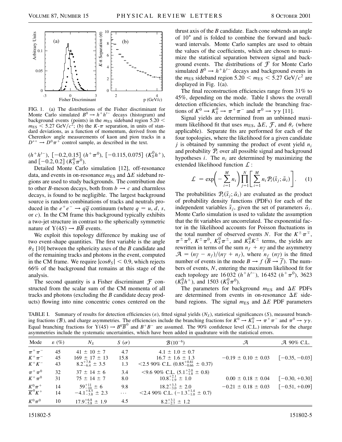

FIG. 1. (a) The distributions of the Fisher discriminant for Monte Carlo simulated  $B^0 \rightarrow h^+h'^-$  decays (histogram) and background events (points) in the  $m_{ES}$  sideband region 5.20  $<$  $m_{ES}$  < 5.27 GeV/ $c^2$ ; (b) the *K*- $\pi$  separation, in units of standard deviations, as a function of momentum, derived from the Cherenkov angle measurements of kaon and pion tracks in a  $D^{*+} \rightarrow D^0 \pi^+$  control sample, as described in the text.

 $(h^+h'^{-})$ ,  $[-0.2, 0.15]$   $(h^+\pi^0)$ ,  $[-0.115, 0.075]$   $(K_S^0h^+)$ , and  $[-0.2, 0.2]$   $(K_S^0 \pi^0)$ .

Detailed Monte Carlo simulation [12], off-resonance data, and events in on-resonance  $m_{ES}$  and  $\Delta E$  sideband regions are used to study backgrounds. The contribution due to other *B*-meson decays, both from  $b \rightarrow c$  and charmless decays, is found to be negligible. The largest background source is random combinations of tracks and neutrals produced in the  $e^+e^- \rightarrow q\overline{q}$  continuum (where  $q = u, d, s$ , or *c*). In the CM frame this background typically exhibits a two-jet structure in contrast to the spherically symmetric nature of  $Y(4S) \rightarrow B\overline{B}$  events.

We exploit this topology difference by making use of two event-shape quantities. The first variable is the angle  $\theta_S$  [10] between the sphericity axes of the *B* candidate and of the remaining tracks and photons in the event, computed in the CM frame. We require  $|\cos \theta_s|$  < 0.9, which rejects 66% of the background that remains at this stage of the analysis.

The second quantity is a Fisher discriminant  $\mathcal F$  constructed from the scalar sum of the CM momenta of all tracks and photons (excluding the *B* candidate decay products) flowing into nine concentric cones centered on the thrust axis of the *B* candidate. Each cone subtends an angle of  $10^{\circ}$  and is folded to combine the forward and backward intervals. Monte Carlo samples are used to obtain the values of the coefficients, which are chosen to maximize the statistical separation between signal and background events. The distributions of  $\mathcal F$  for Monte Carlo simulated  $B^0 \rightarrow h^+h'^-$  decays and background events in the  $m_{ES}$  sideband region  $5.20 < m_{ES} < 5.27$  GeV/ $c^2$  are displayed in Fig. 1(a).

The final reconstruction efficiencies range from 31% to 45%, depending on the mode. Table I shows the overall detection efficiencies, which include the branching fractions of  $K^0 \to K^0_S \to \pi^+ \pi^-$  and  $\pi^0 \to \gamma \gamma$  [11].

Signal yields are determined from an unbinned maximum likelihood fit that uses  $m_{ES}$ ,  $\Delta E$ ,  $\mathcal{F}$ , and  $\theta_c$  (where applicable). Separate fits are performed for each of the four topologies, where the likelihood for a given candidate *j* is obtained by summing the product of event yield *ni* and probability P*<sup>i</sup>* over all possible signal and background hypotheses  $i$ . The  $n_i$  are determined by maximizing the extended likelihood function  $\mathcal{L}$  :

$$
\mathcal{L} = \exp\left(-\sum_{i=1}^{M} n_i\right) \prod_{j=1}^{N} \left[\sum_{i=1}^{M} n_i \mathcal{P}_i(\vec{x}_j; \vec{\alpha}_i)\right].
$$
 (1)

The probabilities  $\mathcal{P}_i(\vec{x}_j; \vec{\alpha}_i)$  are evaluated as the product of probability density functions (PDFs) for each of the independent variables  $\vec{x}_j$ , given the set of parameters  $\vec{\alpha}_i$ . Monte Carlo simulation is used to validate the assumption that the fit variables are uncorrelated. The exponential factor in the likelihood accounts for Poisson fluctuations in the total number of observed events *N*. For the  $K^{\pm} \pi^{\mp}$ ,  $\pi^{\pm} \pi^0$ ,  $K^{\pm} \pi^0$ ,  $K^0_S \pi^{\pm}$ , and  $K^0_S K^{\pm}$  terms, the yields are rewritten in terms of the sum  $n_f + n_f$  and the asymmetry  $\mathcal{A} = (n_{\overline{f}} - n_f)/(n_{\overline{f}} + n_f)$ , where  $n_f$  ( $n_{\overline{f}}$ ) is the fitted number of events in the mode  $B \to f(\overline{B} \to \overline{f})$ . The numbers of events, *N*, entering the maximum likelihood fit for each topology are 16 032  $(h+h^{-})$ , 16 452  $(h^{+}\pi^{0})$ , 3623  $(K_S^0 h^+),$  and 1503  $(K_S^0 \pi^0).$ 

The parameters for background  $m_{ES}$  and  $\Delta E$  PDFs are determined from events in on-resonance  $\Delta E$  sideband regions. The signal  $m_{ES}$  and  $\Delta E$  PDF parameters

TABLE I. Summary of results for detection efficiencies  $(e)$ , fitted signal yields  $(N<sub>S</sub>)$ , statistical significances  $(S)$ , measured branching fractions (B), and charge asymmetries. The efficiencies include the branching fractions for  $K^0 \to K_S^0 \to \pi^+ \pi^-$  and  $\pi^0 \to \gamma \gamma$ . Equal branching fractions for  $\Upsilon(4S) \to B^0 \overline{B}^0$  and  $B^+ B^-$  are assumed. The 90% confidence level (C.L.) intervals for the charge asymmetries include the systematic uncertainties, which have been added in quadrature with the statistical errors.

| Mode                                   | $\varepsilon$ (%) | $N_{\rm S}$                                                             | $S(\sigma)$        | $B(10^{-6})$                                                                                                       | А                         | A 90% C.L.       |
|----------------------------------------|-------------------|-------------------------------------------------------------------------|--------------------|--------------------------------------------------------------------------------------------------------------------|---------------------------|------------------|
| $\pi^+\pi^-$<br>$K^+\pi^-$<br>$K^+K^-$ | 45<br>45<br>43    | $41 \pm 10 \pm 7$<br>$169 \pm 17 \pm 13$<br>$8.2^{+7.8}_{-6.4} \pm 3.5$ | 4.7<br>15.8<br>1.3 | $4.1 \pm 1.0 \pm 0.7$<br>$16.7 \pm 1.6 \pm 1.3$<br>$\langle 2.590\% \text{ C.L. } (0.85_{-0.66}^{+0.81} \pm 0.37)$ | $-0.19 \pm 0.10 \pm 0.03$ | $[-0.35, -0.03]$ |
| $\pi^+\pi^0$<br>$K^+\pi^0$             | 32<br>31          | $37 \pm 14 \pm 6$<br>$75 \pm 14 \pm 7$                                  | 3.4<br>8.0         | $\leq$ 9.6 90% C.L. $(5.1^{+2.0}_{-1.8} \pm 0.8)$<br>$10.8^{+2.1}_{-1.9} \pm 1.0$                                  | $0.00 \pm 0.18 \pm 0.04$  | $[-0.30, +0.30]$ |
| $\frac{K^0\pi^+}{K^0K^+}$              | 14<br>14          | $59^{+11}_{-10} \pm 6$<br>$-4.1_{-3.8}^{+4.5} \pm 2.3$                  | 9.8<br>$\cdots$    | $18.2_{-3.0}^{+3.3} \pm 2.0$<br><2.4 90% C.L. $(-1.3^{+1.4}_{-1.0} \pm 0.7)$                                       | $-0.21 \pm 0.18 \pm 0.03$ | $[-0.51, +0.09]$ |
| $K^0\pi^0$                             | 10                | $17.9^{+6.8}_{-5.8} \pm 1.9$                                            | 4.5                | $8.2_{-2.7}^{+3.1} \pm 1.2$                                                                                        |                           |                  |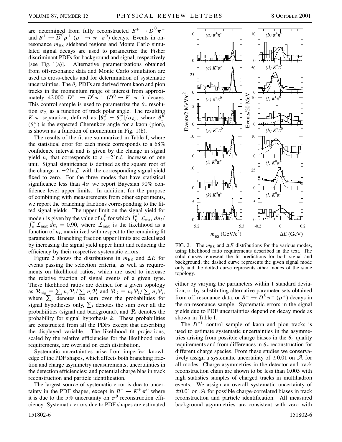are determined from fully reconstructed  $B^+ \to \overline{D}^0 \pi^+$ and  $B^+ \to \overline{D}^0 \rho^+$  ( $\rho^+ \to \pi^+ \pi^0$ ) decays. Events in onresonance  $m_{ES}$  sideband regions and Monte Carlo simulated signal decays are used to parametrize the Fisher discriminant PDFs for background and signal, respectively [see Fig. 1(a)]. Alternative parametrizations obtained from off-resonance data and Monte Carlo simulation are used as cross-checks and for determination of systematic uncertainties. The  $\theta_c$  PDFs are derived from kaon and pion tracks in the momentum range of interest from approximately 42 000  $D^{*+} \to D^0 \pi^+$  ( $D^0 \to K^- \pi^+$ ) decays. This control sample is used to parametrize the  $\theta_c$  resolution  $\sigma_{\theta_c}$  as a function of track polar angle. The resulting *K*- $\pi$  separation, defined as  $|\theta_c^K - \theta_c^{\pi}|/\sigma_{\theta_c}$ , where  $\theta_c^{\bar{K}}$  $(\theta_c^{\pi})$  is the expected Cherenkov angle for a kaon (pion), is shown as a function of momentum in Fig. 1(b).

The results of the fit are summarized in Table I, where the statistical error for each mode corresponds to a 68% confidence interval and is given by the change in signal yield  $n_i$  that corresponds to a  $-2 \ln \mathcal{L}$  increase of one unit. Signal significance is defined as the square root of the change in  $-2 \ln \mathcal{L}$  with the corresponding signal yield fixed to zero. For the three modes that have statistical significance less than  $4\sigma$  we report Bayesian 90% confidence level upper limits. In addition, for the purpose of combining with measurements from other experiments, we report the branching fractions corresponding to the fitted signal yields. The upper limit on the signal yield for mode *i* is given by the value of  $n_i^0$  for which  $\int_{0}^{n_i} L_{\text{max}} \, dn_i /$ <br> $\int_{0}^{\infty} C_{\text{max}} \, dm_i \to 0.00$ , where  $\int_{0}^{\infty}$  is the libelihood or a Hode *t* is given by the value of  $n_i$  for which  $f_0 \nightharpoonup_{\text{max}} \frac{dn_i}{f_0}$ <br> $\int_0^\infty \mathcal{L}_{\text{max}} dn_i = 0.90$ , where  $\mathcal{L}_{\text{max}}$  is the likelihood as a function of  $n_i$ , maximized with respect to the remaining fit parameters. Branching fraction upper limits are calculated by increasing the signal yield upper limit and reducing the efficiency by their respective systematic errors.

Figure 2 shows the distributions in  $m_{ES}$  and  $\Delta E$  for events passing the selection criteria, as well as requirements on likelihood ratios, which are used to increase the relative fraction of signal events of a given type. These likelihood ratios are defined for a given topology as  $R_{sig} = \sum_{s} n_s P_s / \sum_{i} n_i P_i$  and  $R_k = n_k P_k / \sum_{s} n_s P_s$ , where  $\sum_{s}$  denotes the sum over the probabilities for signal hypotheses only,  $\sum_i$  denotes the sum over all the probabilities (signal and background), and  $P_k$  denotes the probability for signal hypothesis *k*. These probabilities are constructed from all the PDFs except that describing the displayed variable. The likelihood fit projections, scaled by the relative efficiencies for the likelihood ratio requirements, are overlaid on each distribution.

Systematic uncertainties arise from imperfect knowledge of the PDF shapes, which affects both branching fraction and charge asymmetry measurements; uncertainties in the detection efficiencies; and potential charge bias in track reconstruction and particle identification.

The largest source of systematic error is due to uncertainty in the PDF shapes, except in  $B^+ \to K^+\pi^0$  where it is due to the 5% uncertainty on  $\pi^0$  reconstruction efficiency. Systematic errors due to PDF shapes are estimated



FIG. 2. The  $m_{ES}$  and  $\Delta E$  distributions for the various modes, using likelihood ratio requirements described in the text. The solid curves represent the fit predictions for both signal and background; the dashed curve represents the given signal mode only and the dotted curve represents other modes of the same topology.

either by varying the parameters within 1 standard deviation, or by substituting alternative parameter sets obtained from off-resonance data, or  $B^+ \to \overline{D}^0 \pi^+$  ( $\rho^+$ ) decays in the on-resonance sample. Systematic errors in the signal yields due to PDF uncertainties depend on decay mode as shown in Table I.

The  $D^{*+}$  control sample of kaon and pion tracks is used to estimate systematic uncertainties in the asymmetries arising from possible charge biases in the  $\theta_c$  quality requirements and from differences in  $\theta_c$  reconstruction for different charge species. From these studies we conservatively assign a systematic uncertainty of  $\pm 0.01$  on A for all modes. Charge asymmetries in the detector and track reconstruction chain are shown to be less than 0.005 with high statistics samples of charged tracks in multihadron events. We assign an overall systematic uncertainty of  $\pm 0.01$  on  $\mathcal A$  for possible charge-correlated biases in track reconstruction and particle identification. All measured background asymmetries are consistent with zero with